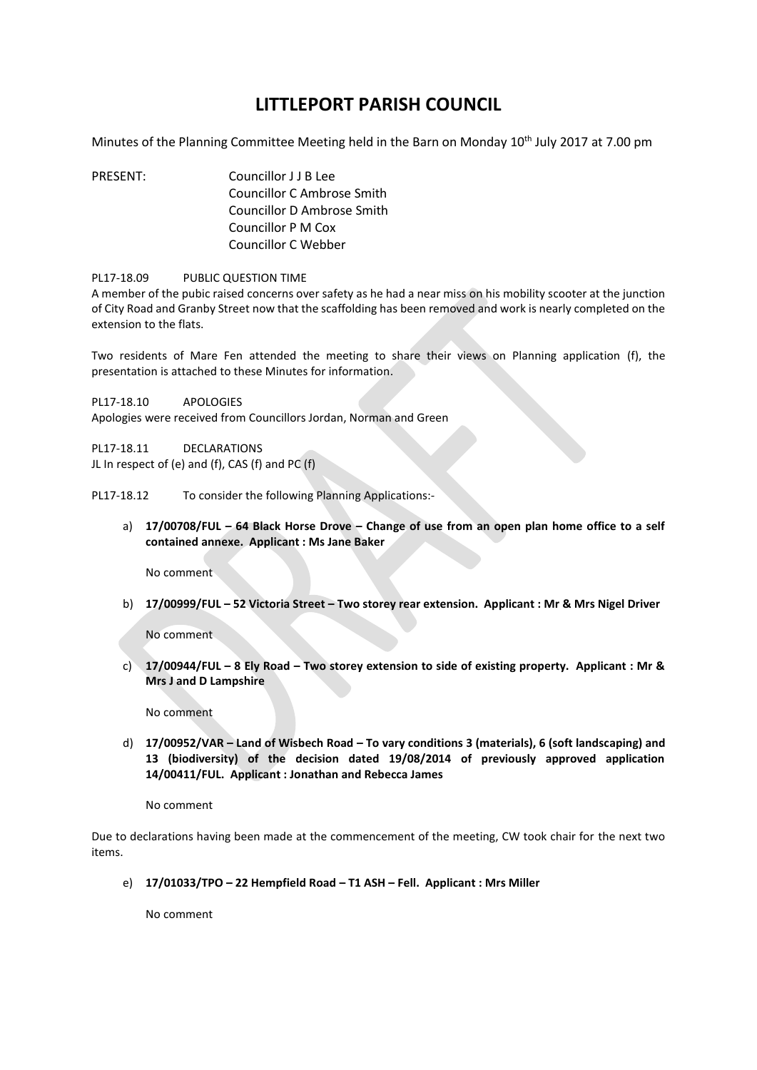## **LITTLEPORT PARISH COUNCIL**

Minutes of the Planning Committee Meeting held in the Barn on Monday 10<sup>th</sup> July 2017 at 7.00 pm

PRESENT: Councillor J J B Lee Councillor C Ambrose Smith Councillor D Ambrose Smith Councillor P M Cox Councillor C Webber

## PL17-18.09 PUBLIC QUESTION TIME

A member of the pubic raised concerns over safety as he had a near miss on his mobility scooter at the junction of City Road and Granby Street now that the scaffolding has been removed and work is nearly completed on the extension to the flats.

Two residents of Mare Fen attended the meeting to share their views on Planning application (f), the presentation is attached to these Minutes for information.

PL17-18.10 APOLOGIES

Apologies were received from Councillors Jordan, Norman and Green

PL17-18.11 DECLARATIONS JL In respect of (e) and (f), CAS (f) and PC (f)

PL17-18.12 To consider the following Planning Applications:-

a) **17/00708/FUL – 64 Black Horse Drove – Change of use from an open plan home office to a self contained annexe. Applicant : Ms Jane Baker**

No comment

b) **17/00999/FUL – 52 Victoria Street – Two storey rear extension. Applicant : Mr & Mrs Nigel Driver**

No comment

c) **17/00944/FUL – 8 Ely Road – Two storey extension to side of existing property. Applicant : Mr & Mrs J and D Lampshire** 

No comment

d) **17/00952/VAR – Land of Wisbech Road – To vary conditions 3 (materials), 6 (soft landscaping) and 13 (biodiversity) of the decision dated 19/08/2014 of previously approved application 14/00411/FUL. Applicant : Jonathan and Rebecca James**

No comment

Due to declarations having been made at the commencement of the meeting, CW took chair for the next two items.

e) **17/01033/TPO – 22 Hempfield Road – T1 ASH – Fell. Applicant : Mrs Miller** 

No comment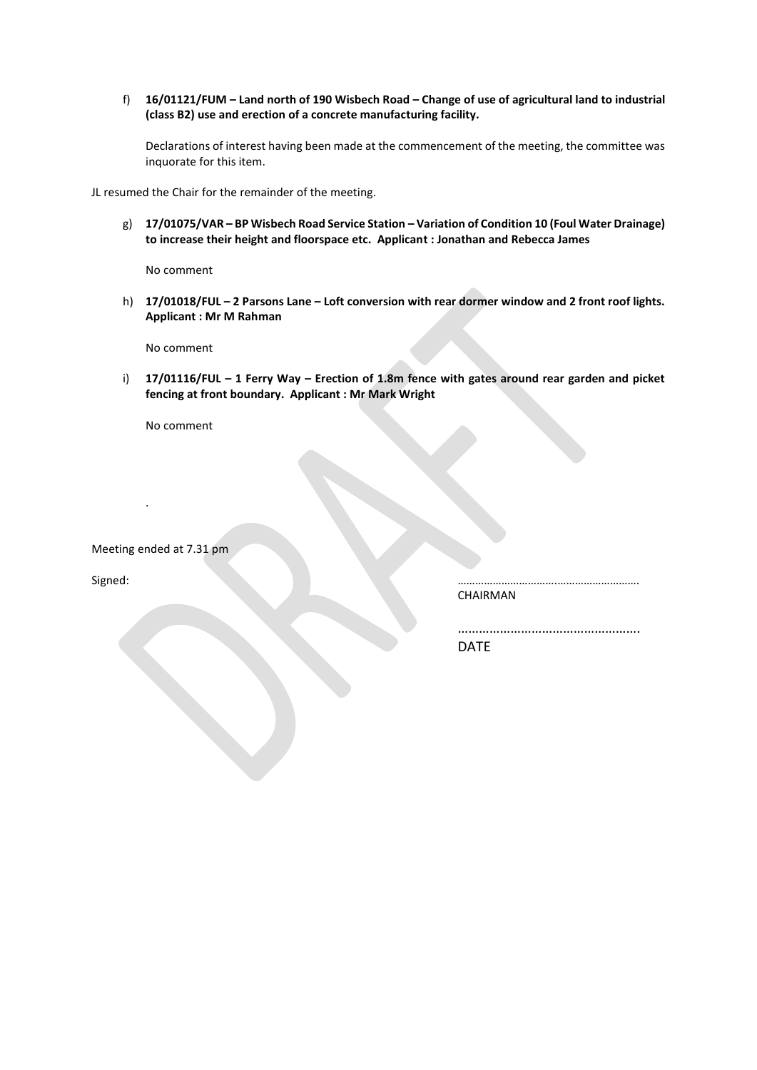f) **16/01121/FUM – Land north of 190 Wisbech Road – Change of use of agricultural land to industrial (class B2) use and erection of a concrete manufacturing facility.** 

Declarations of interest having been made at the commencement of the meeting, the committee was inquorate for this item.

JL resumed the Chair for the remainder of the meeting.

g) **17/01075/VAR – BP Wisbech Road Service Station – Variation of Condition 10 (Foul Water Drainage) to increase their height and floorspace etc. Applicant : Jonathan and Rebecca James** 

No comment

h) **17/01018/FUL – 2 Parsons Lane – Loft conversion with rear dormer window and 2 front roof lights. Applicant : Mr M Rahman** 

No comment

i) **17/01116/FUL – 1 Ferry Way – Erection of 1.8m fence with gates around rear garden and picket fencing at front boundary. Applicant : Mr Mark Wright** 

No comment

Meeting ended at 7.31 pm

.

Signed: …………………………….……………………….

CHAIRMAN

……………………………………………. DATE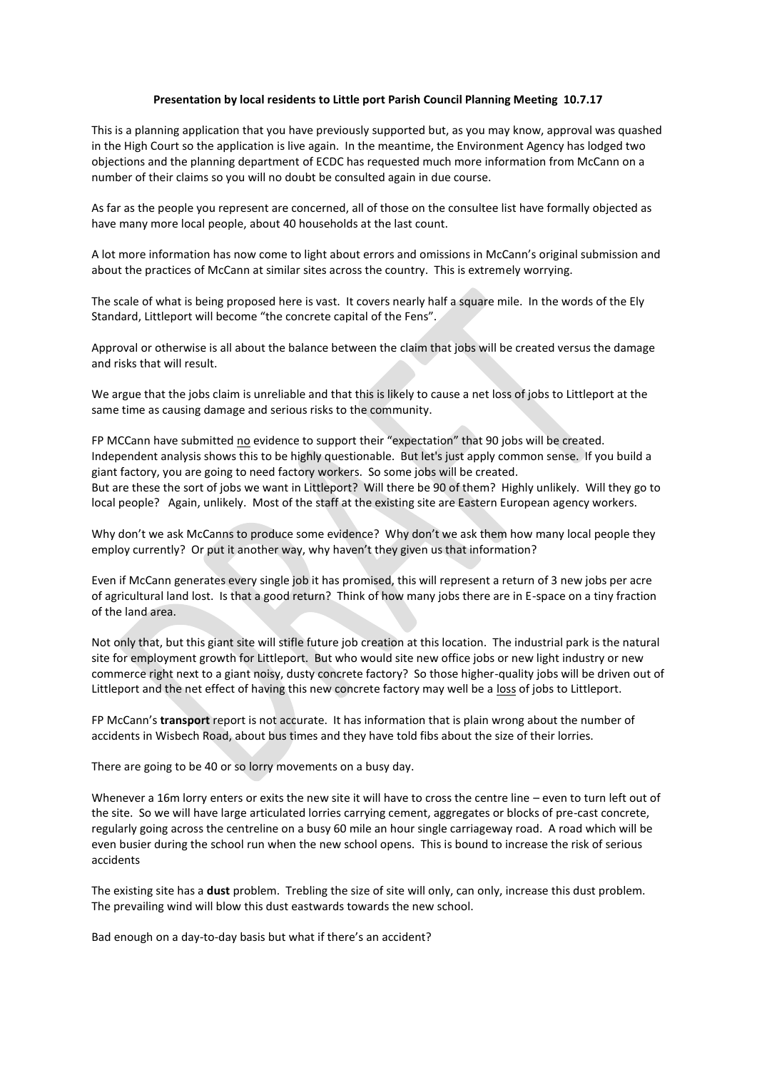## **Presentation by local residents to Little port Parish Council Planning Meeting 10.7.17**

This is a planning application that you have previously supported but, as you may know, approval was quashed in the High Court so the application is live again. In the meantime, the Environment Agency has lodged two objections and the planning department of ECDC has requested much more information from McCann on a number of their claims so you will no doubt be consulted again in due course.

As far as the people you represent are concerned, all of those on the consultee list have formally objected as have many more local people, about 40 households at the last count.

A lot more information has now come to light about errors and omissions in McCann's original submission and about the practices of McCann at similar sites across the country. This is extremely worrying.

The scale of what is being proposed here is vast. It covers nearly half a square mile. In the words of the Ely Standard, Littleport will become "the concrete capital of the Fens".

Approval or otherwise is all about the balance between the claim that jobs will be created versus the damage and risks that will result.

We argue that the jobs claim is unreliable and that this is likely to cause a net loss of jobs to Littleport at the same time as causing damage and serious risks to the community.

FP MCCann have submitted no evidence to support their "expectation" that 90 jobs will be created. Independent analysis shows this to be highly questionable. But let's just apply common sense. If you build a giant factory, you are going to need factory workers. So some jobs will be created. But are these the sort of jobs we want in Littleport? Will there be 90 of them? Highly unlikely. Will they go to local people? Again, unlikely. Most of the staff at the existing site are Eastern European agency workers.

Why don't we ask McCanns to produce some evidence? Why don't we ask them how many local people they employ currently? Or put it another way, why haven't they given us that information?

Even if McCann generates every single job it has promised, this will represent a return of 3 new jobs per acre of agricultural land lost. Is that a good return? Think of how many jobs there are in E-space on a tiny fraction of the land area.

Not only that, but this giant site will stifle future job creation at this location. The industrial park is the natural site for employment growth for Littleport. But who would site new office jobs or new light industry or new commerce right next to a giant noisy, dusty concrete factory? So those higher-quality jobs will be driven out of Littleport and the net effect of having this new concrete factory may well be a loss of jobs to Littleport.

FP McCann's **transport** report is not accurate. It has information that is plain wrong about the number of accidents in Wisbech Road, about bus times and they have told fibs about the size of their lorries.

There are going to be 40 or so lorry movements on a busy day.

Whenever a 16m lorry enters or exits the new site it will have to cross the centre line – even to turn left out of the site. So we will have large articulated lorries carrying cement, aggregates or blocks of pre-cast concrete, regularly going across the centreline on a busy 60 mile an hour single carriageway road. A road which will be even busier during the school run when the new school opens. This is bound to increase the risk of serious accidents

The existing site has a **dust** problem. Trebling the size of site will only, can only, increase this dust problem. The prevailing wind will blow this dust eastwards towards the new school.

Bad enough on a day-to-day basis but what if there's an accident?